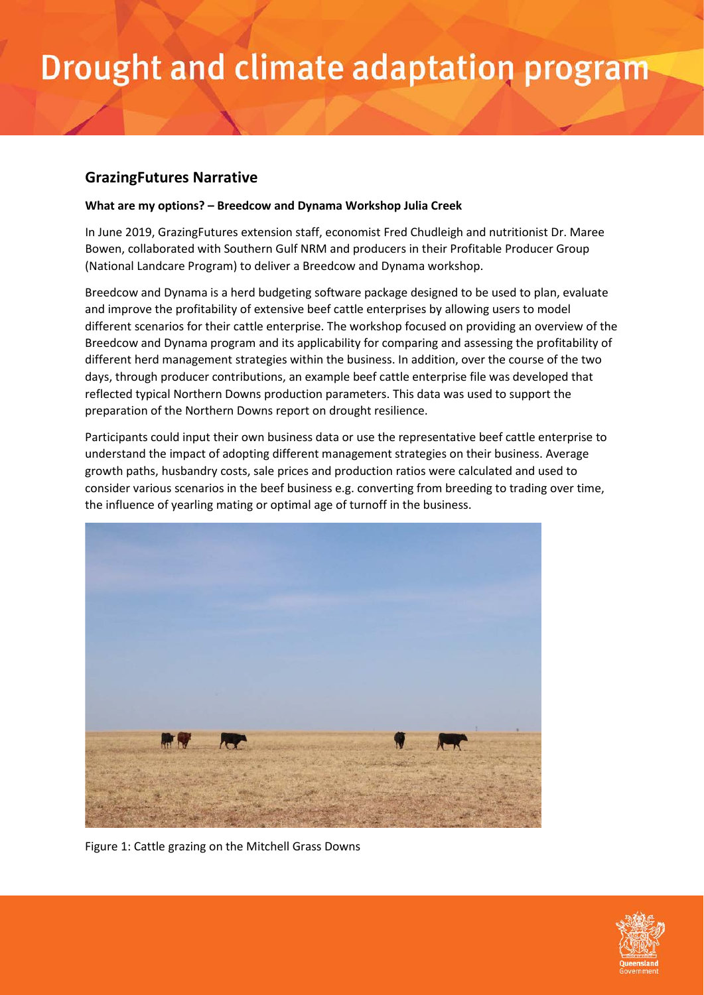## Drought and climate adaptation program

## **GrazingFutures Narrative**

## **What are my options? – Breedcow and Dynama Workshop Julia Creek**

In June 2019, GrazingFutures extension staff, economist Fred Chudleigh and nutritionist Dr. Maree Bowen, collaborated with Southern Gulf NRM and producers in their Profitable Producer Group (National Landcare Program) to deliver a Breedcow and Dynama workshop.

Breedcow and Dynama is a herd budgeting software package designed to be used to plan, evaluate and improve the profitability of extensive beef cattle enterprises by allowing users to model different scenarios for their cattle enterprise. The workshop focused on providing an overview of the Breedcow and Dynama program and its applicability for comparing and assessing the profitability of different herd management strategies within the business. In addition, over the course of the two days, through producer contributions, an example beef cattle enterprise file was developed that reflected typical Northern Downs production parameters. This data was used to support the preparation of the Northern Downs report on drought resilience.

Participants could input their own business data or use the representative beef cattle enterprise to understand the impact of adopting different management strategies on their business. Average growth paths, husbandry costs, sale prices and production ratios were calculated and used to consider various scenarios in the beef business e.g. converting from breeding to trading over time, the influence of yearling mating or optimal age of turnoff in the business.



Figure 1: Cattle grazing on the Mitchell Grass Downs